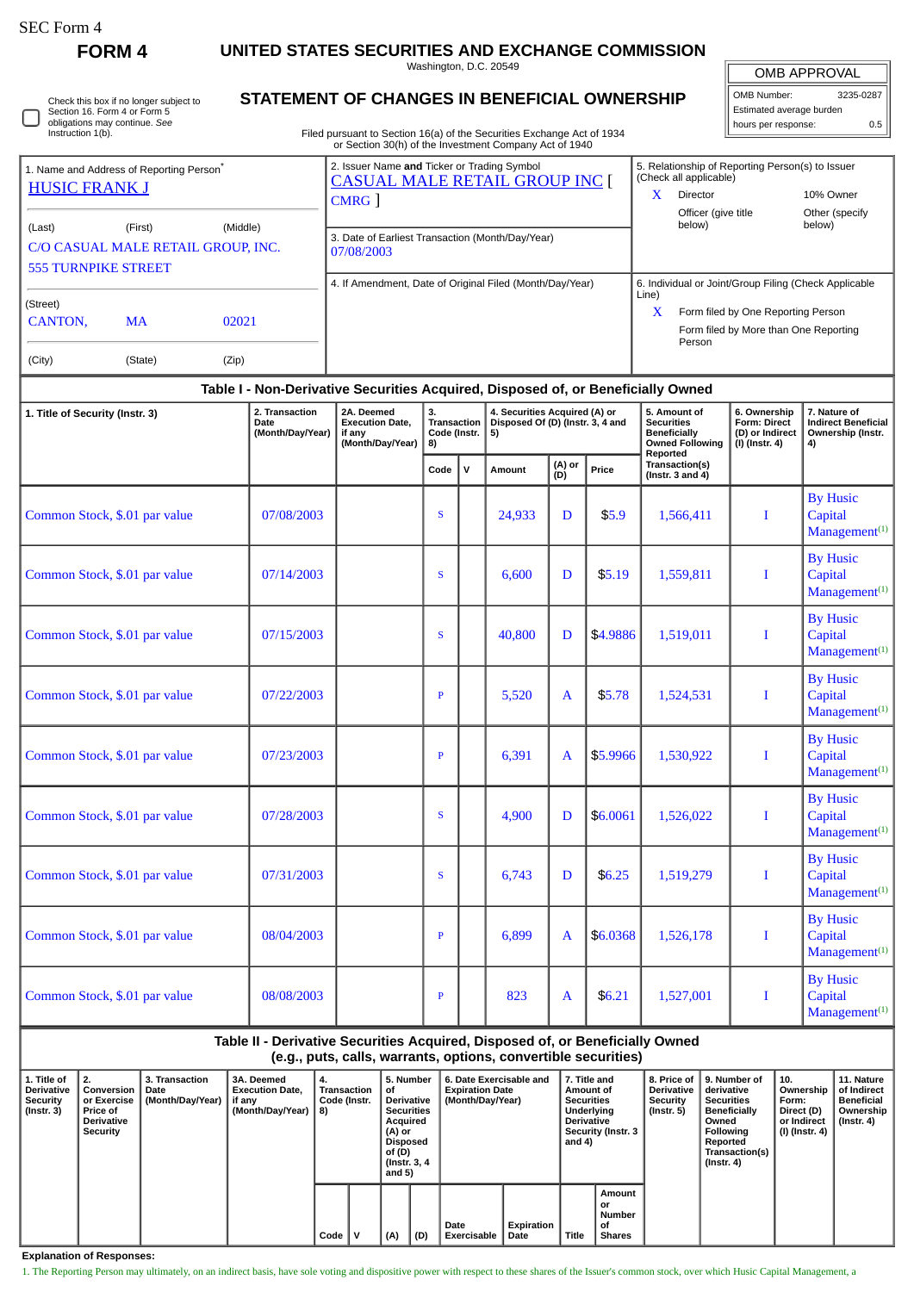| SEC Form 4 |  |
|------------|--|
|------------|--|

 $\Box$ 

**FORM 4 UNITED STATES SECURITIES AND EXCHANGE COMMISSION**

Washington, D.C. 20549

| Check this box if no longer subject to |
|----------------------------------------|
| Section 16. Form 4 or Form 5           |
| obligations may continue. See          |
| Instruction 1(b).                      |

## **STATEMENT OF CHANGES IN BENEFICIAL OWNERSHIP**

Filed pursuant to Section 16(a) of the Securities Exchange Act of 1934 or Section 30(h) of the Investment Company Act of 1940

| <b>OMB APPROVAL</b>      |           |  |  |  |  |  |  |  |
|--------------------------|-----------|--|--|--|--|--|--|--|
| OMB Number:              | 3235-0287 |  |  |  |  |  |  |  |
| Estimated average burden |           |  |  |  |  |  |  |  |
| hours per response:      | 0.5       |  |  |  |  |  |  |  |

|                                                                                                                                                                              |  |  |                                                                | or Section 30(ii) or the investment Company Act or 1940                                    |                                                                                                                                                                         |  |
|------------------------------------------------------------------------------------------------------------------------------------------------------------------------------|--|--|----------------------------------------------------------------|--------------------------------------------------------------------------------------------|-------------------------------------------------------------------------------------------------------------------------------------------------------------------------|--|
| 1. Name and Address of Reporting Person <sup>®</sup><br><b>HUSIC FRANK J</b>                                                                                                 |  |  |                                                                | 2. Issuer Name and Ticker or Trading Symbol<br><b>CASUAL MALE RETAIL GROUP INC</b><br>CMRG | 5. Relationship of Reporting Person(s) to Issuer<br>(Check all applicable)<br>10% Owner<br><b>Director</b><br>Officer (give title<br>Other (specify<br>below)<br>below) |  |
| (Middle)<br>(First)<br>(Last)<br>C/O CASUAL MALE RETAIL GROUP, INC.<br><b>555 TURNPIKE STREET</b><br>(Street)<br><b>CANTON.</b><br>02021<br>MA<br>(City)<br>(Zip)<br>(State) |  |  | 3. Date of Earliest Transaction (Month/Day/Year)<br>07/08/2003 |                                                                                            |                                                                                                                                                                         |  |
|                                                                                                                                                                              |  |  |                                                                | 4. If Amendment, Date of Original Filed (Month/Day/Year)                                   | 6. Individual or Joint/Group Filing (Check Applicable<br>Line)<br>x<br>Form filed by One Reporting Person<br>Form filed by More than One Reporting<br>Person            |  |

## **Table I - Non-Derivative Securities Acquired, Disposed of, or Beneficially Owned**

| 1. Title of Security (Instr. 3) | 2. Transaction<br>Date<br>(Month/Day/Year) | 2A. Deemed<br><b>Execution Date,</b><br>if any<br>(Month/Day/Year) | 3.<br>Transaction<br>Code (Instr.<br>8) |             | 4. Securities Acquired (A) or<br>Disposed Of (D) (Instr. 3, 4 and<br>5) |               |          | 5. Amount of<br><b>Securities</b><br>Beneficially<br><b>Owned Following</b> | 6. Ownership<br><b>Form: Direct</b><br>(D) or Indirect<br>$(I)$ (Instr. 4) | 7. Nature of<br><b>Indirect Beneficial</b><br>Ownership (Instr.<br>4) |  |
|---------------------------------|--------------------------------------------|--------------------------------------------------------------------|-----------------------------------------|-------------|-------------------------------------------------------------------------|---------------|----------|-----------------------------------------------------------------------------|----------------------------------------------------------------------------|-----------------------------------------------------------------------|--|
|                                 |                                            |                                                                    | Code                                    | $\mathbf v$ | Amount                                                                  | (A) or<br>(D) | Price    | Reported<br>Transaction(s)<br>(Instr. $3$ and $4$ )                         |                                                                            |                                                                       |  |
| Common Stock, \$.01 par value   | 07/08/2003                                 |                                                                    | S                                       |             | 24,933                                                                  | D             | \$5.9    | 1,566,411                                                                   | I                                                                          | <b>By Husic</b><br>Capital<br>Management <sup>(1)</sup>               |  |
| Common Stock, \$.01 par value   | 07/14/2003                                 |                                                                    | S.                                      |             | 6,600                                                                   | D             | \$5.19   | 1,559,811                                                                   | $\bf{I}$                                                                   | <b>By Husic</b><br>Capital<br>Management <sup>(1)</sup>               |  |
| Common Stock, \$.01 par value   | 07/15/2003                                 |                                                                    | S.                                      |             | 40,800                                                                  | D             | \$4.9886 | 1,519,011                                                                   | I                                                                          | <b>By Husic</b><br>Capital<br>Management <sup>(1)</sup>               |  |
| Common Stock, \$.01 par value   | 07/22/2003                                 |                                                                    | $\, {\bf p}$                            |             | 5,520                                                                   | A             | \$5.78   | 1,524,531                                                                   | I                                                                          | <b>By Husic</b><br>Capital<br>Management <sup>(1)</sup>               |  |
| Common Stock, \$.01 par value   | 07/23/2003                                 |                                                                    | $\mathbf{P}$                            |             | 6,391                                                                   | $\mathbf{A}$  | \$5.9966 | 1,530,922                                                                   | I                                                                          | <b>By Husic</b><br>Capital<br>Management <sup>(1)</sup>               |  |
| Common Stock, \$.01 par value   | 07/28/2003                                 |                                                                    | S                                       |             | 4,900                                                                   | D             | \$6.0061 | 1,526,022                                                                   | I                                                                          | <b>By Husic</b><br>Capital<br>Management <sup>(1)</sup>               |  |
| Common Stock, \$.01 par value   | 07/31/2003                                 |                                                                    | S                                       |             | 6,743                                                                   | D             | \$6.25   | 1,519,279                                                                   | $\bf{I}$                                                                   | <b>By Husic</b><br>Capital<br>Management <sup>(1)</sup>               |  |
| Common Stock, \$.01 par value   | 08/04/2003                                 |                                                                    | P                                       |             | 6,899                                                                   | $\mathbf{A}$  | \$6.0368 | 1,526,178                                                                   | I                                                                          | <b>By Husic</b><br>Capital<br>Management <sup>(1)</sup>               |  |
| Common Stock, \$.01 par value   | 08/08/2003                                 |                                                                    | $\, {\bf p}$                            |             | 823                                                                     | A             | \$6.21   | 1,527,001                                                                   | I                                                                          | <b>By Husic</b><br>Capital<br>Management <sup>(1)</sup>               |  |

**Table II - Derivative Securities Acquired, Disposed of, or Beneficially Owned (e.g., puts, calls, warrants, options, convertible securities)**

| 1. Title of<br><b>Derivative</b><br>Security<br>$($ Instr. 3 $)$ | 2.<br>Conversion<br>or Exercise<br><b>Price of</b><br><b>Derivative</b><br>Security | 3. Transaction<br>Date<br>(Month/Day/Year) | <b>3A. Deemed</b><br><b>Execution Date,</b><br>if anv<br>(Month/Dav/Year) | 4.<br><b>Transaction</b><br>Code (Instr.<br>8) |  | 5. Number<br>of.<br><b>Derivative</b><br><b>Securities</b><br>Acquired<br>  (A) or<br><b>Disposed</b><br>of (D)<br>(Instr. 3, 4)<br>and 5) |     | 6. Date Exercisable and<br><b>Expiration Date</b><br>(Month/Day/Year) |                    | 7. Title and<br>Amount of<br><b>Securities</b><br><b>Underlying</b><br><b>Derivative</b><br><b>Security (Instr. 3</b><br>and 4) |                                               | 8. Price of<br><b>Derivative</b><br>Security<br>(Instr. 5) | 9. Number of<br>derivative<br><b>Securities</b><br><b>Beneficially</b><br>Owned<br>Following<br>Reported<br>Transaction(s)<br>$($ Instr. 4 $)$ | 10.<br>Ownership<br>Form:<br>Direct (D)<br>or Indirect<br>  (I) (Instr. 4) | 11. Nature<br>of Indirect<br><b>Beneficial</b><br>Ownership<br>(Instr. 4) |
|------------------------------------------------------------------|-------------------------------------------------------------------------------------|--------------------------------------------|---------------------------------------------------------------------------|------------------------------------------------|--|--------------------------------------------------------------------------------------------------------------------------------------------|-----|-----------------------------------------------------------------------|--------------------|---------------------------------------------------------------------------------------------------------------------------------|-----------------------------------------------|------------------------------------------------------------|------------------------------------------------------------------------------------------------------------------------------------------------|----------------------------------------------------------------------------|---------------------------------------------------------------------------|
|                                                                  |                                                                                     |                                            |                                                                           | Code                                           |  | (A)                                                                                                                                        | (D) | Date<br>Exercisable                                                   | Expiration<br>Date | <b>Title</b>                                                                                                                    | Amount<br>or<br>Number<br>οf<br><b>Shares</b> |                                                            |                                                                                                                                                |                                                                            |                                                                           |

**Explanation of Responses:**

1. The Reporting Person may ultimately, on an indirect basis, have sole voting and dispositive power with respect to these shares of the Issuer's common stock, over which Husic Capital Management, a